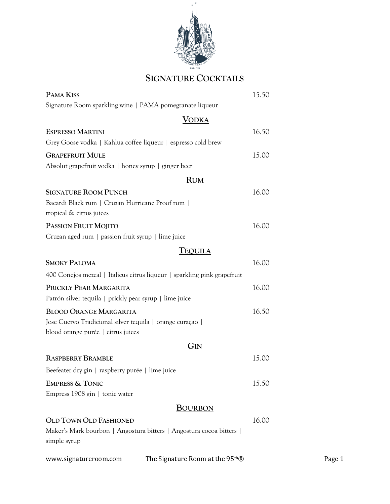

# **SIGNATURE COCKTAILS**

| PAMA KISS                                                                                                                        |                                                                          | 15.50 |        |
|----------------------------------------------------------------------------------------------------------------------------------|--------------------------------------------------------------------------|-------|--------|
| Signature Room sparkling wine   PAMA pomegranate liqueur                                                                         |                                                                          |       |        |
|                                                                                                                                  | <b>VODKA</b>                                                             |       |        |
| <b>ESPRESSO MARTINI</b><br>Grey Goose vodka   Kahlua coffee liqueur   espresso cold brew                                         |                                                                          | 16.50 |        |
| <b>GRAPEFRUIT MULE</b><br>Absolut grapefruit vodka   honey syrup   ginger beer                                                   |                                                                          | 15.00 |        |
|                                                                                                                                  | <b>RUM</b>                                                               |       |        |
| <b>SIGNATURE ROOM PUNCH</b><br>Bacardi Black rum   Cruzan Hurricane Proof rum  <br>tropical & citrus juices                      |                                                                          | 16.00 |        |
| PASSION FRUIT MOJITO                                                                                                             |                                                                          | 16.00 |        |
| Cruzan aged rum   passion fruit syrup   lime juice                                                                               |                                                                          |       |        |
|                                                                                                                                  | TEQUILA                                                                  |       |        |
| <b>SMOKY PALOMA</b>                                                                                                              |                                                                          | 16.00 |        |
|                                                                                                                                  | 400 Conejos mezcal   Italicus citrus liqueur   sparkling pink grapefruit |       |        |
| PRICKLY PEAR MARGARITA<br>Patrón silver tequila   prickly pear syrup   lime juice                                                |                                                                          | 16.00 |        |
| <b>BLOOD ORANGE MARGARITA</b><br>Jose Cuervo Tradicional silver tequila   orange curaçao  <br>blood orange purée   citrus juices |                                                                          | 16.50 |        |
|                                                                                                                                  | GIN                                                                      |       |        |
| <b>RASPBERRY BRAMBLE</b>                                                                                                         |                                                                          | 15.00 |        |
| Beefeater dry gin   raspberry purée   lime juice                                                                                 |                                                                          |       |        |
| <b>EMPRESS &amp; TONIC</b><br>Empress 1908 gin   tonic water                                                                     |                                                                          | 15.50 |        |
|                                                                                                                                  | <b>BOURBON</b>                                                           |       |        |
| <b>OLD TOWN OLD FASHIONED</b><br>simple syrup                                                                                    | Maker's Mark bourbon   Angostura bitters   Angostura cocoa bitters       | 16.00 |        |
| www.signatureroom.com                                                                                                            | The Signature Room at the 95 <sup>th</sup> ®                             |       | Page 1 |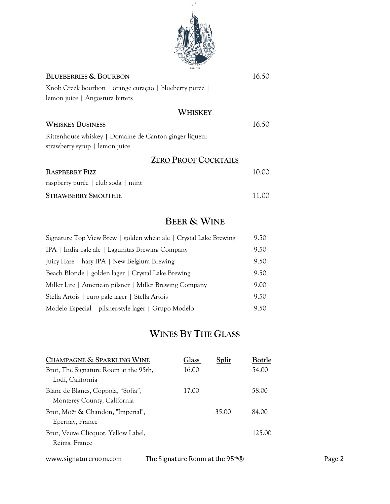

| <b>BLUEBERRIES &amp; BOURBON</b>                                                           | 16.50  |
|--------------------------------------------------------------------------------------------|--------|
| Knob Creek bourbon   orange curaçao   blueberry purée                                      |        |
| lemon juice   Angostura bitters                                                            |        |
| WHISKEY                                                                                    |        |
| <b>WHISKEY BUSINESS</b>                                                                    | 16.50  |
| Rittenhouse whiskey   Domaine de Canton ginger liqueur  <br>strawberry syrup   lemon juice |        |
| <b>ZERO PROOF COCKTAILS</b>                                                                |        |
| <b>RASPBERRY FIZZ</b>                                                                      | 10.00  |
| raspberry purée   club soda   mint                                                         |        |
| <b>STRAWBERRY SMOOTHIE</b>                                                                 | 1 L.OC |

### **BEER & WINE**

| Signature Top View Brew   golden wheat ale   Crystal Lake Brewing | 9.50 |
|-------------------------------------------------------------------|------|
| IPA   India pale ale   Lagunitas Brewing Company                  | 9.50 |
| Juicy Haze   hazy IPA   New Belgium Brewing                       | 9.50 |
| Beach Blonde   golden lager   Crystal Lake Brewing                | 9.50 |
| Miller Lite   American pilsner   Miller Brewing Company           | 9.00 |
| Stella Artois   euro pale lager   Stella Artois                   | 9.50 |
| Modelo Especial   pilsner-style lager   Grupo Modelo              | 9.50 |

# **WINES BY THE GLASS**

| CHAMPAGNE & SPARKLING WINE                                        |                                              | Glass | Split | Bottle |        |
|-------------------------------------------------------------------|----------------------------------------------|-------|-------|--------|--------|
| Brut, The Signature Room at the 95th,<br>Lodi, California         |                                              | 16.00 |       | 54.00  |        |
| Blanc de Blancs, Coppola, "Sofia",<br>Monterey County, California |                                              | 17.00 |       | 58.00  |        |
| Brut, Moët & Chandon, "Imperial",<br>Epernay, France              |                                              |       | 35.00 | 84.00  |        |
| Brut, Veuve Clicquot, Yellow Label,<br>Reims, France              |                                              |       |       | 125.00 |        |
| www.signatureroom.com                                             | The Signature Room at the 95 <sup>th</sup> ® |       |       |        | Page 2 |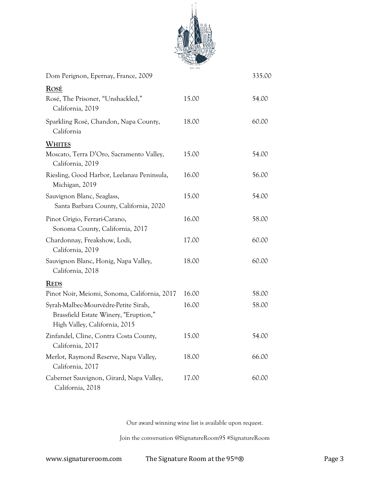

| Dom Perignon, Epernay, France, 2009                                                                            |       | 335.00 |
|----------------------------------------------------------------------------------------------------------------|-------|--------|
| <b>ROSÉ</b>                                                                                                    |       |        |
| Rosé, The Prisoner, "Unshackled,"<br>California, 2019                                                          | 15.00 | 54.00  |
| Sparkling Rosé, Chandon, Napa County,<br>California                                                            | 18.00 | 60.00  |
| <b>WHITES</b>                                                                                                  |       |        |
| Moscato, Terra D'Oro, Sacramento Valley,<br>California, 2019                                                   | 15.00 | 54.00  |
| Riesling, Good Harbor, Leelanau Peninsula,<br>Michigan, 2019                                                   | 16.00 | 56.00  |
| Sauvignon Blanc, Seaglass,<br>Santa Barbara County, California, 2020                                           | 15.00 | 54.00  |
| Pinot Grigio, Ferrari-Carano,<br>Sonoma County, California, 2017                                               | 16.00 | 58.00  |
| Chardonnay, Freakshow, Lodi,<br>California, 2019                                                               | 17.00 | 60.00  |
| Sauvignon Blanc, Honig, Napa Valley,<br>California, 2018                                                       | 18.00 | 60.00  |
| <b>REDS</b>                                                                                                    |       |        |
| Pinot Noir, Meiomi, Sonoma, California, 2017                                                                   | 16.00 | 58.00  |
| Syrah-Malbec-Mourvèdre-Petite Sirah,<br>Brassfield Estate Winery, "Eruption,"<br>High Valley, California, 2015 | 16.00 | 58.00  |
| Zinfandel, Cline, Contra Costa County,<br>California, 2017                                                     | 15.00 | 54.00  |
| Merlot, Raymond Reserve, Napa Valley,<br>California, 2017                                                      | 18.00 | 66.00  |
| Cabernet Sauvignon, Girard, Napa Valley,<br>California, 2018                                                   | 17.00 | 60.00  |

Our award winning wine list is available upon request.

Join the conversation @SignatureRoom95 #SignatureRoom

www.signatureroom.com The Signature Room at the 95<sup>th</sup>® Page 3